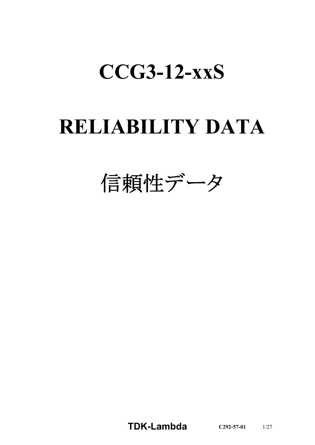# **CCG3-12-xxS**

# **RELIABILITY DATA**

信頼性データ

**TDK-Lambda C292-57-01** 1/27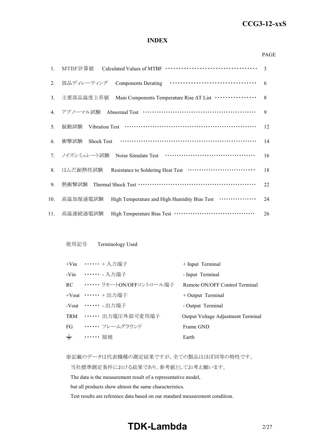#### *RWS 50B-600B Series* **CCG3-12-xxS**

#### **INDEX**

#### PAGE

| 1.  | MTBF計算値                                                                   | $\mathcal{R}$ |
|-----|---------------------------------------------------------------------------|---------------|
| 2.  | 部品ディレーティング<br><b>Components Derating</b>                                  | 6             |
| 3.  | Main Components Temperature Rise AT List ················<br>主要部品温度上昇值    | 8             |
| 4.  | アブノーマル試験 Abnormal Test ………………………………………………                                 | 9             |
| 5.  | 振動試験                                                                      | 12            |
| 6.  | 衝撃試験                                                                      | 14            |
|     | 7. ノイズシミュレート試験                                                            | 16            |
| 8.  | はんだ耐熱性試験 Resistance to Soldering Heat Test ······························ | 18            |
| 9.  | 熱衝擊試験 Thermal Shock Test …………………………………………………                              | 22            |
| 10. | High Temperature and High Humidity Bias Test<br>高温加湿通電試験                  | 24            |
| 11. | 高温連続通電試験                                                                  | 26            |

#### 使用記号 Terminology Used

|       | +Vin …… + 入力端子                | + Input Terminal                   |
|-------|-------------------------------|------------------------------------|
|       | -Vin ……… 入力端子                 | - Input Terminal                   |
|       | RC ••••••• リモートON/OFFコントロール端子 | Remote ON/OFF Control Terminal     |
|       | +Vout $\cdots \cdots$ + 出力端子  | $+$ Output Terminal                |
|       | -Vout ……. 出力端子                | - Output Terminal                  |
|       | TRM ······ 出力電圧外部可変用端子        | Output Voltage Adjustment Terminal |
| FG    | ・・・・・・・ フレームグラウンド             | Frame GND                          |
| $\pm$ | ・・・・・・ 接地                     | Earth                              |

※記載のデータは代表機種の測定結果ですが、全ての製品はほぼ同等の特性です。

当社標準測定条件における結果であり、参考値としてお考え願います。

The data is the measurement result of a representative model,

but all products show almost the same characteristics.

Test results are reference data based on our standard measurement condition.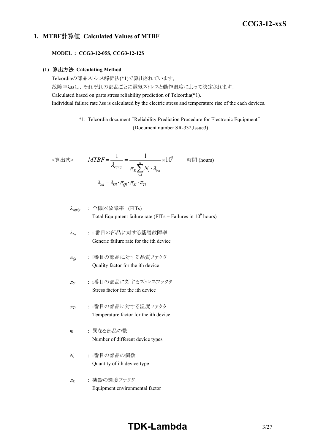## *RWS 50B-600B Series* **CCG3-12-xxS**

#### **1. MTBF**計算値 **Calculated Values of MTBF**

**MODEL : CCG3-12-05S, CCG3-12-12S**

#### **(1)** 算出方法 **Calculating Method**

Telcordiaの部品ストレス解析法(\*1)で算出されています。 故障率λssは、それぞれの部品ごとに電気ストレスと動作温度によって決定されます。 Calculated based on parts stress reliability prediction of Telcordia(\*1). Individual failure rate λss is calculated by the electric stress and temperature rise of the each devices.

> \*1: Telcordia document "Reliability Prediction Procedure for Electronic Equipment" (Document number SR-332,Issue3)

$$
\langle \hat{\mathbf{g}} | \mathbf{H} \mathbf{x} \rangle \qquad MTBF = \frac{1}{\lambda_{\text{equip}}} = \frac{1}{\pi_E \sum_{i=1}^{m} N_i \cdot \lambda_{\text{ssi}}} \times 10^9 \qquad \text{iff } (\text{hours})
$$
\n
$$
\lambda_{\text{ssi}} = \lambda_{\text{Gi}} \cdot \pi_{\text{Qi}} \cdot \pi_{\text{Si}} \cdot \pi_{\text{Ti}}
$$

$$
\lambda_{\text{equip}} : \hat{\pm} \circledR \circledR \circledR \circledR
$$
\n
$$
\lambda_{\text{equip}}
$$
\n
$$
\therefore \hat{\pm} \circledR \circledR
$$
\n
$$
\text{Total Equipment failure rate (FITs = Failure in 109 hours)}
$$

- <sup>l</sup>*Gi* : i 番目の部品に対する基礎故障率 Generic failure rate for the ith device
- <sup>p</sup>*Qi* : i番目の部品に対する品質ファクタ Quality factor for the ith device
- <sup>p</sup>*Si* : i番目の部品に対するストレスファクタ Stress factor for the ith device
- <sup>p</sup>*Ti* : i番目の部品に対する温度ファクタ Temperature factor for the ith device
- *m* : 異なる部品の数 Number of different device types
- *Ni* : i番目の部品の個数 Quantity of ith device type
- <sup>p</sup>*<sup>E</sup>* : 機器の環境ファクタ Equipment environmental factor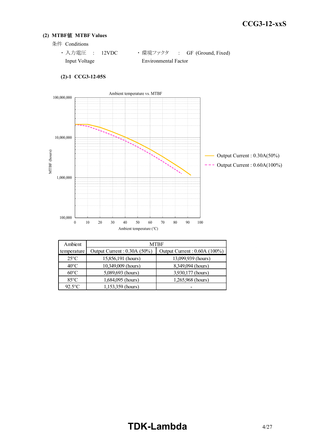#### **(2) MTBF**値 **MTBF Values**

- 条件 Conditions
	- · 入力電圧 : 12VDC ·環境ファクタ : GF (Ground, Fixed) Input Voltage Environmental Factor



| $(2)-1$ CCG3-12-05S |
|---------------------|
|                     |

| Ambient        | MTBF                        |                              |  |  |  |  |  |  |  |
|----------------|-----------------------------|------------------------------|--|--|--|--|--|--|--|
| temperature    | Output Current: 0.30A (50%) | Output Current: 0.60A (100%) |  |  |  |  |  |  |  |
| $25^{\circ}$ C | 15,856,191 (hours)          | 13,099,939 (hours)           |  |  |  |  |  |  |  |
| $40^{\circ}$ C | 10,349,009 (hours)          | 8,349,094 (hours)            |  |  |  |  |  |  |  |
| $60^{\circ}$ C | 5,089,693 (hours)           | 3,930,177 (hours)            |  |  |  |  |  |  |  |
| $85^{\circ}$ C | 1,684,095 (hours)           | 1,265,968 (hours)            |  |  |  |  |  |  |  |
| $92.5$ °C      | 1,153,359 (hours)           |                              |  |  |  |  |  |  |  |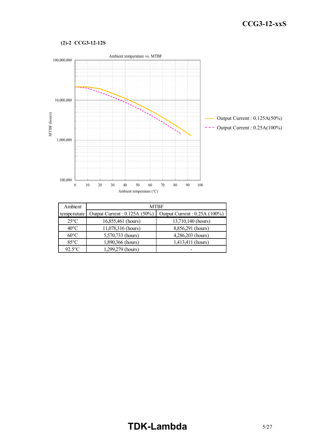#### **(2)-2 CCG3-12-12S**



| Ambient        | <b>MTBF</b>                   |                               |  |  |  |
|----------------|-------------------------------|-------------------------------|--|--|--|
| temperature    | Output Current : 0.125A (50%) | Output Current : 0.25A (100%) |  |  |  |
| $25^{\circ}$ C | 16,855,461 (hours)            | 13,710,140 (hours)            |  |  |  |
| $40^{\circ}$ C | 11,078,316 (hours)            | 8,856,291 (hours)             |  |  |  |
| $60^{\circ}$ C | 5,570,733 (hours)             | 4,286,203 (hours)             |  |  |  |
| $85^{\circ}$ C | 1,890,366 (hours)             | 1,413,411 (hours)             |  |  |  |
| $92.5$ °C      | 1,299,279 (hours)             |                               |  |  |  |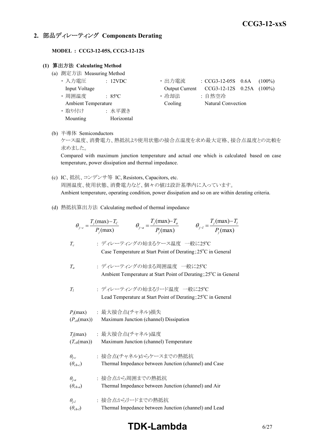## **2.** 部品ディレーティング **Components Derating**

**MODEL : CCG3-12-05S, CCG3-12-12S**

#### **(1)** 算出方法 **Calculating Method**

- (a) 測定方法 Measuring Method
	- 入力電圧 : 12VDC • 出力電流 : CCG3-12-05S 0.6A (100%) Input Voltage Output Current CCG3-12-12S 0.25A (100%) • 周囲温度 : 85°C · 哈却法 : 自然空冷 Ambient Temperature Cooling Natural Convection ・ 取り付け : 水平置き Mounting Horizontal
- (b) 半導体 Semiconductors

ケース温度、消費電力、熱抵抗より使用状態の接合点温度を求め最大定格、接合点温度との比較を 求めました。

Compared with maximum junction temperature and actual one which is calculated based on case temperature, power dissipation and thermal impedance.

- (c) IC、抵抗、コンデンサ等 IC, Resistors, Capacitors, etc. 周囲温度、使用状態、消費電力など、個々の値は設計基準内に入っています。 Ambient temperature, operating condition, power dissipation and so on are within derating criteria.
- (d) 熱抵抗算出方法 Calculating method of thermal impedance

|                                     | $\theta_{j-c} = \frac{T_j(\text{max}) - T_c}{P_j(\text{max})}$ $\theta_{j-a} = \frac{T_j(\text{max}) - T_a}{P_j(\text{max})}$ | $\theta_{j-l} = \frac{T_j(\text{max}) - T_l}{P(\text{max})}$ |
|-------------------------------------|-------------------------------------------------------------------------------------------------------------------------------|--------------------------------------------------------------|
| $T_c$                               | : ディレーティングの始まるケース温度 一般に25℃<br>Case Temperature at Start Point of Derating; 25°C in General                                    |                                                              |
| $T_a$                               | : ディレーティングの始まる周囲温度 一般に25℃<br>Ambient Temperature at Start Point of Derating; 25°C in General                                  |                                                              |
| $T_I$                               | : ディレーティングの始まるリード温度 一般に25℃<br>Lead Temperature at Start Point of Derating; 25°C in General                                    |                                                              |
| $(P_{ch}(\text{max}))$              | $P_i$ (max) : 最大接合点(チャネル)損失<br>Maximum Junction (channel) Dissipation                                                         |                                                              |
| $(T_{ch}(\text{max}))$              | $T_j$ (max) : 最大接合点(チャネル)温度<br>Maximum Junction (channel) Temperature                                                         |                                                              |
| $\theta_{i-c}$<br>$(\theta_{ch-c})$ | : 接合点(チャネル)からケースまでの熱抵抗<br>Thermal Impedance between Junction (channel) and Case                                               |                                                              |
| $\theta_{i-a}$<br>$(\theta_{ch-a})$ | : 接合点から周囲までの熱抵抗<br>Thermal Impedance between Junction (channel) and Air                                                       |                                                              |
| $\theta_{i-l}$<br>$(\theta_{ch-l})$ | : 接合点からリードまでの熱抵抗<br>Thermal Impedance between Junction (channel) and Lead                                                     |                                                              |

## **TDK-Lambda** 6/27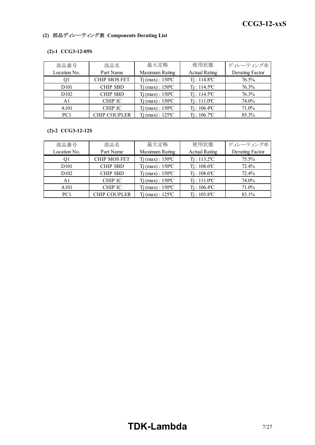#### *RWS 50B-600B Series* **CCG3-12-xxS**

## **(2)** 部品ディレーティング表 **Components Derating List**

#### **(2)-1 CCG3-12-05S**

| 部品番号             | 部品名                 | 最大定格                         | 使用状態                       | ディレーティング率       |
|------------------|---------------------|------------------------------|----------------------------|-----------------|
| Location No.     | Part Name           | Maximum Rating               | <b>Actual Rating</b>       | Derating Factor |
| Οl               | <b>CHIP MOS FET</b> | $Tj$ (max) : $150^{\circ}$ C | $Ti: 114.8$ <sup>o</sup> C | 76.5%           |
| D <sub>101</sub> | <b>CHIP SBD</b>     | $Tj$ (max) : $150^{\circ}$ C | $Ti: 114.5^{\circ}C$       | 76.3%           |
| D <sub>102</sub> | <b>CHIP SBD</b>     | $Tj$ (max) : $150^{\circ}$ C | $Ti: 114.5^{\circ}C$       | 76.3%           |
| A1               | <b>CHIP IC</b>      | $Tj$ (max) : $150^{\circ}$ C | $Ti: 111.0^{\circ}C$       | 74.0%           |
| A <sub>101</sub> | <b>CHIP IC</b>      | $Tj$ (max) : $150^{\circ}$ C | $Ti: 106.4$ <sup>o</sup> C | 71.0%           |
| PC <sub>1</sub>  | <b>CHIP COUPLER</b> | $Ti$ (max) : 125 °C          | $Ti: 106.7$ <sup>o</sup> C | 85.3%           |

#### **(2)-2 CCG3-12-12S**

| 部品番号              | 部品名                 | 最大定格                         | 使用状態                       | ディレーティング率       |
|-------------------|---------------------|------------------------------|----------------------------|-----------------|
| Location No.      | Part Name           | Maximum Rating               | <b>Actual Rating</b>       | Derating Factor |
|                   | <b>CHIP MOS FET</b> | $Tj$ (max) : $150^{\circ}$ C | $Ti: 113.2$ <sup>o</sup> C | 75.5%           |
| D <sub>10</sub> 1 | <b>CHIP SBD</b>     | $Tj$ (max) : $150^{\circ}$ C | $Ti: 108.6$ °C             | 72.4%           |
| D <sub>102</sub>  | <b>CHIP SBD</b>     | $Tj$ (max) : $150^{\circ}$ C | $Ti: 108.6$ °C             | 72.4%           |
| A1                | CHIP IC             | $Ti$ (max) : $150^{\circ}$ C | $Ti: 111.0^{\circ}C$       | 74.0%           |
| A <sub>101</sub>  | <b>CHIP IC</b>      | $Ti$ (max) : $150^{\circ}$ C | $Ti: 106.4$ <sup>o</sup> C | 71.0%           |
| PC <sub>1</sub>   | <b>CHIP COUPLER</b> | $Ti$ (max) : $125^{\circ}$ C | $Ti: 103.8$ <sup>o</sup> C | 83.1%           |

# **TDK-Lambda** 7/27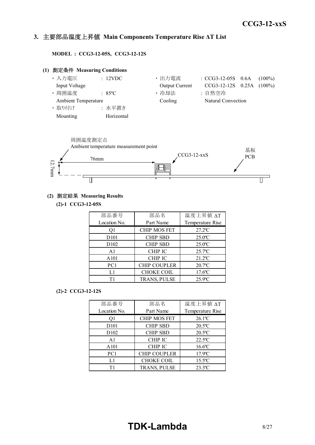#### *INSTRUCTION MANUAL* **3.** 主要部品温度上昇値 **Main Components Temperature Rise ΔT List**

**MODEL : CCG3-12-05S, CCG3-12-12S**

## **(1)** 測定条件 **Measuring Conditions** • 入力電圧 : 12VDC · 出力電流 : CCG3-12-05S 0.6A (100%) Input Voltage Output Current CCG3-12-12S 0.25A (100%) • 周囲温度 | 35℃ | 1 → 冷却法 | 1 + 自然空冷 Ambient Temperature Cooling Natural Convection ・ 取り付け : 水平置き Mounting Horizontal



#### **(2)** 測定結果 **Measuring Results**

**(2)-1 CCG3-12-05S**

| 部品番号             | 部品名                 | 温度上昇值 ΔT              |  |  |
|------------------|---------------------|-----------------------|--|--|
| Location No.     | Part Name           | Temperature Rise      |  |  |
| O1               | <b>CHIP MOS FET</b> | $27.2$ <sup>o</sup> C |  |  |
| D <sub>101</sub> | <b>CHIP SBD</b>     | $25.0$ <sup>o</sup> C |  |  |
| D <sub>102</sub> | <b>CHIP SBD</b>     | $25.0$ <sup>o</sup> C |  |  |
| A1               | <b>CHIP IC</b>      | $25.7$ <sup>o</sup> C |  |  |
| A101             | <b>CHIP IC</b>      | $21.2^{\circ}$ C      |  |  |
| PC1              | <b>CHIP COUPLER</b> | $20.7$ <sup>o</sup> C |  |  |
| L1               | <b>CHOKE COIL</b>   | $17.6$ <sup>o</sup> C |  |  |
| Τ1               | TRANS, PULSE        | $25.9$ °C             |  |  |

#### **(2)-2 CCG3-12-12S**

| 部品番号              | 部品名                 | 温度上昇值 ΔT              |
|-------------------|---------------------|-----------------------|
| Location No.      | Part Name           | Temperature Rise      |
| O1                | <b>CHIP MOS FET</b> | $26.1$ <sup>o</sup> C |
| D <sub>10</sub> 1 | <b>CHIP SBD</b>     | $20.5$ °C             |
| D <sub>102</sub>  | <b>CHIP SBD</b>     | $20.5^{\circ}$ C      |
| A <sub>1</sub>    | <b>CHIP IC</b>      | $22.5^{\circ}$ C      |
| A101              | <b>CHIP IC</b>      | $16.6$ °C             |
| PC1               | <b>CHIP COUPLER</b> | $17.9$ °C             |
| L1                | <b>CHOKE COIL</b>   | $15.5$ <sup>o</sup> C |
| Τ1                | TRANS, PULSE        | $23.3$ <sup>o</sup> C |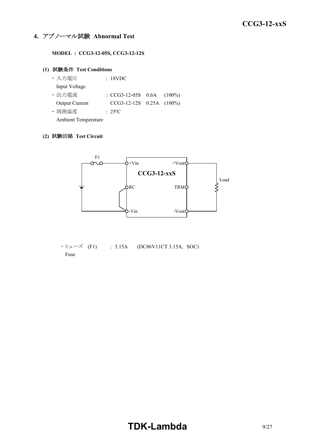### **4.** アブノーマル試験 **Abnormal Test**

**MODEL : CCG3-12-05S, CCG3-12-12S**

#### **(1)** 試験条件 **Test Conditions**

| ・入力電圧                      | : 18VDC                        |  |
|----------------------------|--------------------------------|--|
| Input Voltage              |                                |  |
| ・出力電流                      | : $CCG3-12-05S$ 0.6A $(100\%)$ |  |
| <b>Output Current</b>      | $CCG3-12-12S$ 0.25A $(100\%)$  |  |
| ・周囲温度                      | $: 25^{\circ}$ C               |  |
| <b>Ambient Temperature</b> |                                |  |

#### **(2)** 試験回路 **Test Circuit**



 $\cdot$  ヒューズ (F1) : 3.15A (DC86V11CT 3.15A, SOC) Fuse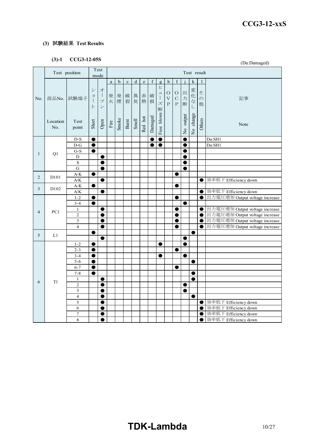### **(3)** 試験結果 **Test Results**

## **(3)-1 CCG3-12-05S**

|                | (J)-1<br>CCG3-12-055<br>(Da:Damaged) |                                                             |                                                          |                                                                 |                       |             |             |           |                                                                                |         |                                   |                                                    |                                        |           |             |                         |                                              |
|----------------|--------------------------------------|-------------------------------------------------------------|----------------------------------------------------------|-----------------------------------------------------------------|-----------------------|-------------|-------------|-----------|--------------------------------------------------------------------------------|---------|-----------------------------------|----------------------------------------------------|----------------------------------------|-----------|-------------|-------------------------|----------------------------------------------|
|                |                                      | Test position                                               |                                                          | Test<br>mode                                                    |                       |             |             |           |                                                                                |         |                                   |                                                    |                                        |           | Test result |                         |                                              |
|                |                                      |                                                             |                                                          |                                                                 | $\rm{a}$              | $\mathbf b$ | $\mathbf c$ | ${\rm d}$ | $\mathbf{e}% _{B}=\mathbf{e}_{B}+\mathbf{e}_{B}+\mathbf{e}_{B}+\mathbf{e}_{B}$ | f       | $\mathbf{g}$                      | h                                                  | I                                      |           | k           | 1                       |                                              |
| No.            | 部品No.                                | 試験端子                                                        | $\ddot{\checkmark}$<br>$\Xi$<br>$\mathbf{I}$<br>$\vdash$ | 才<br>$\mathcal{I}$<br>$\mathcal{I}$<br>$\overline{\phantom{a}}$ |                       | 発 発<br>火 煙  | 破裂          | 異<br>臭    | 赤<br>熱                                                                         | 破<br>損  | ヒ<br>그<br>$\mathcal{I}$<br>ズ<br>断 | $\circ$<br>$\boldsymbol{\nabla}$<br>$\overline{P}$ | $\bigcirc$<br>$\mathcal{C}$<br>$\rm P$ | 出力<br>断   | 変化なし        | そ<br>$\varnothing$<br>他 | 記事                                           |
|                | Location<br>No.                      | Test<br>point                                               | Short                                                    | Open                                                            | $\operatorname{Fire}$ | Smoke       | Burst       | Smell     | Red hot                                                                        | Damaged | Fuse blown                        |                                                    |                                        | No output | No change   | Others                  | Note                                         |
|                |                                      | $D-S$                                                       | $\bullet$                                                |                                                                 |                       |             |             |           |                                                                                | €       | $\overline{\bullet}$              |                                                    |                                        | e         |             |                         | Da:SH1                                       |
|                |                                      | $D-G$                                                       | $\bullet$                                                |                                                                 |                       |             |             |           |                                                                                | e       | $\bullet$                         |                                                    |                                        | 0         |             |                         | Da:SH1                                       |
| $\mathbf{1}$   | Q1                                   | $G-S$                                                       | ●                                                        |                                                                 |                       |             |             |           |                                                                                |         |                                   |                                                    |                                        | C         |             |                         |                                              |
|                |                                      | D                                                           |                                                          | $\bullet$                                                       |                       |             |             |           |                                                                                |         |                                   |                                                    |                                        | e         |             |                         |                                              |
|                |                                      | $\rm S$                                                     |                                                          | $\bullet$                                                       |                       |             |             |           |                                                                                |         |                                   |                                                    |                                        | 0         |             |                         |                                              |
|                |                                      | $\mathbf G$                                                 |                                                          |                                                                 |                       |             |             |           |                                                                                |         |                                   |                                                    |                                        | O         |             |                         |                                              |
| 2              | D101                                 | $A-K$                                                       | $\bullet$                                                |                                                                 |                       |             |             |           |                                                                                |         |                                   |                                                    | ●                                      |           |             |                         |                                              |
|                |                                      | $\mathbf{A} / \mathbf{K}$                                   |                                                          | $\bullet$                                                       |                       |             |             |           |                                                                                |         |                                   |                                                    |                                        |           |             | $\bullet$               | 効率低下 Efficiency down                         |
| $\mathfrak{Z}$ | D <sub>102</sub>                     | $\mathbf{A}\text{-}\mathbf{K}$<br>$\mathbf{A} / \mathbf{K}$ |                                                          | $\bullet$                                                       |                       |             |             |           |                                                                                |         |                                   |                                                    |                                        |           |             | $\bullet$               | 効率低下 Efficiency down                         |
|                |                                      | $1 - 2$                                                     |                                                          |                                                                 |                       |             |             |           |                                                                                |         |                                   |                                                    |                                        |           |             | $\bullet$               | 出力電圧増加 Output voltage increase               |
|                |                                      | $3 - 4$                                                     |                                                          |                                                                 |                       |             |             |           |                                                                                |         |                                   |                                                    |                                        | 0         |             |                         |                                              |
|                |                                      | $\mathbf{1}$                                                |                                                          | $\bullet$                                                       |                       |             |             |           |                                                                                |         |                                   |                                                    | e                                      |           |             | $\bullet$               | 出力電圧増加 Output voltage increase               |
| $\overline{4}$ | PC1                                  | $\overline{c}$                                              |                                                          | $\bullet$                                                       |                       |             |             |           |                                                                                |         |                                   |                                                    | e                                      |           |             | $\bullet$               | 出力電圧増加 Output voltage increase               |
|                |                                      | 3                                                           |                                                          | 0                                                               |                       |             |             |           |                                                                                |         |                                   |                                                    |                                        |           |             | $\bullet$               | 出力電圧増加 Output voltage increase               |
|                |                                      | $\overline{\mathbf{4}}$                                     |                                                          | $\bullet$                                                       |                       |             |             |           |                                                                                |         |                                   |                                                    | $\bullet$                              |           |             | $\bullet$               | 出力電圧増加 Output voltage increase               |
|                |                                      |                                                             | $\bullet$                                                |                                                                 |                       |             |             |           |                                                                                |         |                                   |                                                    |                                        |           | $\bullet$   |                         |                                              |
| 5              | L1                                   |                                                             |                                                          | О                                                               |                       |             |             |           |                                                                                |         |                                   |                                                    |                                        | ●         |             |                         |                                              |
|                |                                      | $1 - 2$                                                     | $\bullet$                                                |                                                                 |                       |             |             |           |                                                                                |         | $\bullet$                         |                                                    |                                        | $\bullet$ |             |                         |                                              |
|                |                                      | $2 - 3$                                                     | $\bullet$                                                |                                                                 |                       |             |             |           |                                                                                |         |                                   |                                                    | 0                                      |           |             |                         |                                              |
|                |                                      | $3 - 4$                                                     |                                                          |                                                                 |                       |             |             |           |                                                                                |         | œ                                 |                                                    |                                        | O         |             |                         |                                              |
|                |                                      | $5 - 6$                                                     | $\bullet$                                                |                                                                 |                       |             |             |           |                                                                                |         |                                   |                                                    |                                        |           | $\bullet$   |                         |                                              |
|                |                                      | $6 - 7$                                                     | $\bullet$                                                |                                                                 |                       |             |             |           |                                                                                |         |                                   |                                                    | $\bullet$                              |           |             |                         |                                              |
|                |                                      | $7 - 8$                                                     | ●                                                        |                                                                 |                       |             |             |           |                                                                                |         |                                   |                                                    |                                        |           | 0           |                         |                                              |
| 6              | T1                                   | $\mathbf{1}$                                                |                                                          | $\bullet$                                                       |                       |             |             |           |                                                                                |         |                                   |                                                    |                                        |           | $\bullet$   |                         |                                              |
|                |                                      | $\overline{c}$                                              |                                                          | $\bullet$                                                       |                       |             |             |           |                                                                                |         |                                   |                                                    |                                        | 0         |             |                         |                                              |
|                |                                      | 3                                                           |                                                          | ●                                                               |                       |             |             |           |                                                                                |         |                                   |                                                    |                                        | 0         |             |                         |                                              |
|                |                                      | $\overline{\mathbf{4}}$                                     |                                                          | $\bullet$                                                       |                       |             |             |           |                                                                                |         |                                   |                                                    |                                        |           | $\bullet$   |                         |                                              |
|                |                                      | 5                                                           |                                                          | $\bullet$                                                       |                       |             |             |           |                                                                                |         |                                   |                                                    |                                        |           |             | ●                       | 効率低下 Efficiency down                         |
|                |                                      | 6<br>$\overline{7}$                                         |                                                          | ●                                                               |                       |             |             |           |                                                                                |         |                                   |                                                    |                                        |           |             | ●                       | 効率低下 Efficiency down                         |
|                |                                      | 8                                                           |                                                          | $\bullet$<br>●                                                  |                       |             |             |           |                                                                                |         |                                   |                                                    |                                        |           |             | O<br>$\bullet$          | 効率低下 Efficiency down<br>効率低下 Efficiency down |
|                |                                      |                                                             |                                                          |                                                                 |                       |             |             |           |                                                                                |         |                                   |                                                    |                                        |           |             |                         |                                              |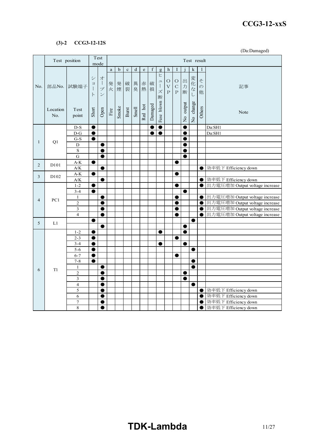#### *RWS 50B-600B Series* **CCG3-12-xxS**

#### **(3)-2 CCG3-12-12S**

(Da:Damaged)

|                |                   | Test position                                               | Test<br>Test result<br>mode                                 |                                                    |        |             |             |             |             |             |                                         |                                               |                                              |             |                |                         |                                |
|----------------|-------------------|-------------------------------------------------------------|-------------------------------------------------------------|----------------------------------------------------|--------|-------------|-------------|-------------|-------------|-------------|-----------------------------------------|-----------------------------------------------|----------------------------------------------|-------------|----------------|-------------------------|--------------------------------|
|                |                   |                                                             |                                                             |                                                    | a      | $\mathbf b$ | $\mathbf c$ | $\mathbf d$ | $\mathbf e$ | $\mathbf f$ | $\mathbf{g}$                            | h                                             | <b>I</b>                                     |             | k              |                         |                                |
| No.            |                   | 部品No. 試験端子                                                  | $\ddot{\checkmark}$<br>$\equiv$<br>$\mathbf{I}$<br>$\vdash$ | 才<br>$\overline{\phantom{a}}$<br>プ<br>$\mathcal V$ | 発<br>火 | 発<br>煙      | 破<br>裂      | 異<br>臭      | 赤<br>熱      | 破<br>損      | ヒ<br>$\equiv$<br>$\mathbb{I}$<br>ズ<br>断 | $\circ$<br>$\bar{\mathbf{V}}$<br>$\, {\bf P}$ | $\rm{O}$<br>$\overline{C}$<br>$\overline{P}$ | 出<br>力<br>断 | 変化な<br>$\cup$  | そ<br>$\mathcal{O}$<br>他 | 記事                             |
|                | Location<br>No.   | Test<br>point                                               | Short                                                       | Open                                               | Fire   | Smoke       | Burst       | Smell       | Red hot     | Damaged     | Fuse blown                              |                                               |                                              | No output   | No change      | Others                  | Note                           |
|                |                   | $D-S$                                                       | $\bullet$                                                   |                                                    |        |             |             |             |             |             | $\bullet$                               |                                               |                                              | C           |                |                         | Da:SH1                         |
|                |                   | $D-G$                                                       | $\bullet$                                                   |                                                    |        |             |             |             |             |             | $\bullet$                               |                                               |                                              |             |                |                         | Da:SH1                         |
| $\mathbf{1}$   | Q1                | $G-S$                                                       | $\bullet$                                                   |                                                    |        |             |             |             |             |             |                                         |                                               |                                              | e           |                |                         |                                |
|                |                   | $\overline{D}$                                              |                                                             |                                                    |        |             |             |             |             |             |                                         |                                               |                                              | C           |                |                         |                                |
|                |                   | $\,$ S                                                      |                                                             |                                                    |        |             |             |             |             |             |                                         |                                               |                                              |             |                |                         |                                |
|                |                   | $\overline{G}$                                              |                                                             | ●                                                  |        |             |             |             |             |             |                                         |                                               |                                              | e           |                |                         |                                |
| $\overline{2}$ | D <sub>10</sub> 1 | $\mathbf{A}\text{-}\mathbf{K}$                              | $\bullet$                                                   |                                                    |        |             |             |             |             |             |                                         |                                               |                                              |             |                |                         |                                |
|                |                   | $A/K$                                                       | $\bullet$                                                   |                                                    |        |             |             |             |             |             |                                         |                                               | ●                                            |             |                | C                       | 効率低下 Efficiency down           |
| 3              | D <sub>102</sub>  | $\mathbf{A}\text{-}\mathbf{K}$<br>$\mathbf{A} / \mathbf{K}$ |                                                             | $\bullet$                                          |        |             |             |             |             |             |                                         |                                               |                                              |             |                | $\bullet$               | 効率低下 Efficiency down           |
|                |                   | $1 - 2$                                                     | $\bullet$                                                   |                                                    |        |             |             |             |             |             |                                         |                                               | ●                                            |             |                | $\bullet$               | 出力電圧増加 Output voltage increase |
|                |                   | $3 - 4$                                                     | $\bullet$                                                   |                                                    |        |             |             |             |             |             |                                         |                                               |                                              | ●           |                |                         |                                |
|                |                   | $\mathbf{1}$                                                |                                                             | $\bullet$                                          |        |             |             |             |             |             |                                         |                                               |                                              |             |                | $\bullet$               | 出力電圧増加 Output voltage increase |
| $\overline{4}$ | PC1               | $\overline{2}$                                              |                                                             | O                                                  |        |             |             |             |             |             |                                         |                                               |                                              |             |                | $\bullet$               | 出力電圧増加 Output voltage increase |
|                |                   | 3                                                           |                                                             | ●                                                  |        |             |             |             |             |             |                                         |                                               |                                              |             |                | $\bullet$               | 出力電圧増加 Output voltage increase |
|                |                   | $\overline{4}$                                              |                                                             | $\bullet$                                          |        |             |             |             |             |             |                                         |                                               | 0                                            |             |                | $\bullet$               | 出力電圧増加 Output voltage increase |
| 5              | L1                |                                                             | O                                                           |                                                    |        |             |             |             |             |             |                                         |                                               |                                              |             | $\bullet$      |                         |                                |
|                |                   |                                                             |                                                             |                                                    |        |             |             |             |             |             |                                         |                                               |                                              | ●           |                |                         |                                |
|                |                   | $1 - 2$                                                     | $\bullet$                                                   |                                                    |        |             |             |             |             |             | $\bullet$                               |                                               |                                              | $\bullet$   |                |                         |                                |
|                |                   | $2 - 3$                                                     | $\bullet$                                                   |                                                    |        |             |             |             |             |             |                                         |                                               |                                              |             |                |                         |                                |
|                |                   | $3 - 4$                                                     | e                                                           |                                                    |        |             |             |             |             |             |                                         |                                               |                                              |             |                |                         |                                |
|                |                   | $5 - 6$                                                     | $\bullet$                                                   |                                                    |        |             |             |             |             |             |                                         |                                               |                                              |             | ●              |                         |                                |
|                |                   | $6 - 7$<br>$7 - 8$                                          | $\bullet$                                                   |                                                    |        |             |             |             |             |             |                                         |                                               |                                              |             |                |                         |                                |
|                |                   |                                                             | $\bullet$                                                   | $\bullet$                                          |        |             |             |             |             |             |                                         |                                               |                                              |             | ●<br>$\bullet$ |                         |                                |
| 6              | T <sub>1</sub>    | $\mathbf{1}$<br>$\overline{c}$                              |                                                             | ●                                                  |        |             |             |             |             |             |                                         |                                               |                                              | ●           |                |                         |                                |
|                |                   | 3                                                           |                                                             | O                                                  |        |             |             |             |             |             |                                         |                                               |                                              | O           |                |                         |                                |
|                |                   | $\overline{4}$                                              |                                                             | $\bullet$                                          |        |             |             |             |             |             |                                         |                                               |                                              |             | ●              |                         |                                |
|                |                   | 5                                                           |                                                             | ●                                                  |        |             |             |             |             |             |                                         |                                               |                                              |             |                | $\bullet$               | 効率低下 Efficiency down           |
|                |                   | 6                                                           |                                                             | ●                                                  |        |             |             |             |             |             |                                         |                                               |                                              |             |                | $\bullet$               | 効率低下 Efficiency down           |
|                |                   | $\tau$                                                      |                                                             |                                                    |        |             |             |             |             |             |                                         |                                               |                                              |             |                | ●                       | 効率低下 Efficiency down           |
|                |                   | 8                                                           |                                                             |                                                    |        |             |             |             |             |             |                                         |                                               |                                              |             |                | e                       | 効率低下 Efficiency down           |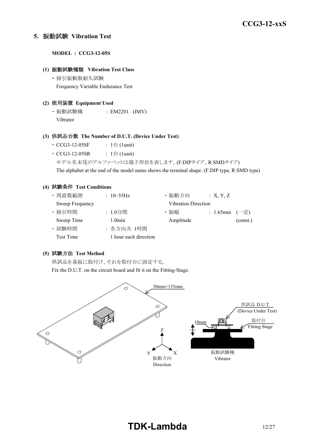#### **5.** 振動試験 **Vibration Test**

**MODEL : CCG3-12-05S**

#### **(1)** 振動試験種類 **Vibration Test Class**

・ 掃引振動数耐久試験 Frequency Variable Endurance Test

#### **(2)** 使用装置 **Equipment Used**

・ 振動試験機 : EM2201 (IMV) Vibrator

#### **(3)** 供試品台数 **The Number of D.U.T. (Device Under Test)**

- CCG3-12-05SF :  $1 \oplus (1$ unit)
- $CCG3-12-05SR$  : 1台 (1unit)
	- モデル名末尾のアルファベットは端子形状を表します。(F:DIPタイプ、R:SMDタイプ)

The alphabet at the end of the model name shows the terminal shape. (F:DIP type, R:SMD type)

#### **(4)** 試験条件 **Test Conditions**

| ・周波数範囲          | : $10 - 55$ Hz        | ・振動方向                      | X, Y, Z           |          |
|-----------------|-----------------------|----------------------------|-------------------|----------|
| Sweep Frequency |                       | <b>Vibration Direction</b> |                   |          |
| · 掃引時間          | : 1.0分間               | ・振幅                        | : 1.65mm $(-\pm)$ |          |
| Sweep Time      | $1.0$ min             | Amplitude                  |                   | (const.) |
| · 試験時間          | : 各方向共 1時間            |                            |                   |          |
| Test Time       | 1 hour each direction |                            |                   |          |

### **(5)** 試験方法 **Test Method**

供試品を基板に取付け、それを取付台に固定する。

Fix the D.U.T. on the circuit board and fit it on the Fitting-Stage.

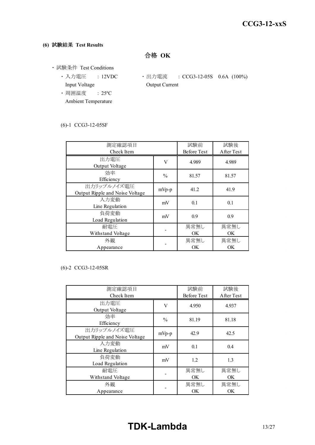#### **(6)** 試験結果 **Test Results**

合格 **OK**

- ・ 試験条件 Test Conditions
	- Input Voltage **Output Current**
	- ・ 周囲温度 : 25ºC Ambient Temperature
	- 入力電圧 : 12VDC · 出力電流 : CCG3-12-05S 0.6A (100%)

#### (6)-1 CCG3-12-05SF

| 測定確認項目<br>Check Item            | 試験前<br><b>Before Test</b> | 試験後<br>After Test |       |  |
|---------------------------------|---------------------------|-------------------|-------|--|
|                                 |                           |                   |       |  |
| 出力電圧                            | V                         | 4.989             | 4.989 |  |
| Output Voltage                  |                           |                   |       |  |
| 効率                              | $\frac{0}{0}$             | 81.57             | 81.57 |  |
| Efficiency                      |                           |                   |       |  |
| 出力リップルノイズ電圧                     |                           | 41.2              | 41.9  |  |
| Output Ripple and Noise Voltage | $mVp-p$                   |                   |       |  |
| 入力変動                            | mV                        | 0.1               | 0.1   |  |
| Line Regulation                 |                           |                   |       |  |
| 負荷変動                            |                           |                   |       |  |
| Load Regulation                 | mV                        | 0.9               | 0.9   |  |
| 耐電圧                             |                           | 異常無し              | 異常無し  |  |
| Withstand Voltage               |                           | <b>OK</b>         | OK.   |  |
| 外観                              |                           | 異常無し              | 異常無し  |  |
| Appearance                      |                           | <b>OK</b>         | OK    |  |

#### (6)-2 CCG3-12-05SR

| 測定確認項目<br>Check Item                           |               | 試験前<br><b>Before Test</b> | 試験後<br>After Test |
|------------------------------------------------|---------------|---------------------------|-------------------|
| 出力電圧<br>Output Voltage                         | V             | 4.950                     | 4.937             |
| 効率<br>Efficiency                               | $\frac{0}{0}$ | 81.19                     | 81.18             |
| 出力リップルノイズ電圧<br>Output Ripple and Noise Voltage | $mVp-p$       | 42.9                      | 42.5              |
| 入力変動<br>Line Regulation                        | mV            | 0.1                       | 0.4               |
| 負荷変動<br>Load Regulation                        | mV            | 1.2                       | 1.3               |
| 耐電圧<br>Withstand Voltage                       |               | 異常無し<br>OK.               | 異常無し<br>OK.       |
| 外観<br>Appearance                               |               | 異常無し<br><b>OK</b>         | 異常無し<br>OK.       |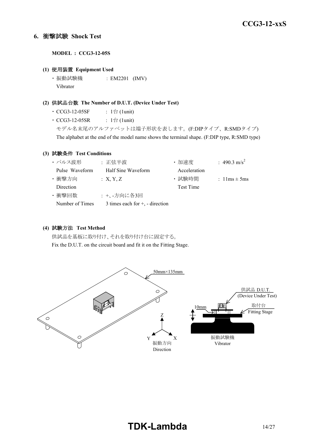#### **6.** 衝撃試験 **Shock Test**

**MODEL : CCG3-12-05S**

#### **(1)** 使用装置 **Equipment Used**

・ 振動試験機 : EM2201 (IMV) Vibrator

#### **(2)** 供試品台数 **The Number of D.U.T. (Device Under Test)**

- $\cdot$  CCG3-12-05SF : 1台 (1unit)
- $CCG3-12-05SR$  :  $1 \triangleq (1unit)$

モデル名末尾のアルファベットは端子形状を表します。(F:DIPタイプ、R:SMDタイプ) The alphabet at the end of the model name shows the terminal shape. (F:DIP type, R:SMD type)

#### **(3)** 試験条件 **Test Conditions**

| ・パルス波形          | : 正弦半波                               | ・加速度         | : 490.3 m/s <sup>2</sup>         |
|-----------------|--------------------------------------|--------------|----------------------------------|
| Pulse Waveform  | Half Sine Waveform                   | Acceleration |                                  |
| ・衝撃方向           | : X, Y, Z                            | · 試験時間       | : $1 \text{lms} \pm 5 \text{ms}$ |
| Direction       |                                      | Test Time    |                                  |
| ・衝撃回数           | : +、-方向に各3回                          |              |                                  |
| Number of Times | 3 times each for $+$ , $-$ direction |              |                                  |

#### **(4)** 試験方法 **Test Method**

供試品を基板に取り付け、それを取り付け台に固定する。 Fix the D.U.T. on the circuit board and fit it on the Fitting Stage.

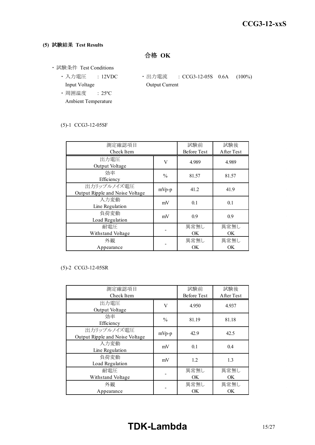## **(5)** 試験結果 **Test Results**

合格 **OK**

- ・ 試験条件 Test Conditions
	- Input Voltage **Output Current**
	- ・ 周囲温度 : 25ºC Ambient Temperature
	- 入力電圧 : 12VDC 出力電流 : CCG3-12-05S 0.6A (100%)

#### (5)-1 CCG3-12-05SF

| 測定確認項目                          | 試験前                | 試験後        |       |  |
|---------------------------------|--------------------|------------|-------|--|
| Check Item                      | <b>Before Test</b> | After Test |       |  |
| 出力電圧                            | V                  | 4.989      | 4.989 |  |
| Output Voltage                  |                    |            |       |  |
| 効率                              | $\frac{0}{0}$      | 81.57      | 81.57 |  |
| Efficiency                      |                    |            |       |  |
| 出力リップルノイズ電圧                     | $mVp-p$            | 41.2       | 41.9  |  |
| Output Ripple and Noise Voltage |                    |            |       |  |
| 入力変動                            | mV                 | 0.1        | 0.1   |  |
| Line Regulation                 |                    |            |       |  |
| 負荷変動                            | mV                 | 0.9        | 0.9   |  |
| Load Regulation                 |                    |            |       |  |
| 耐電圧                             |                    | 異常無し       | 異常無し  |  |
| Withstand Voltage               |                    | OK.        | OK.   |  |
| 外観                              |                    | 異常無し       | 異常無し  |  |
| Appearance                      |                    | <b>OK</b>  | OK    |  |

#### (5)-2 CCG3-12-05SR

| 測定確認項目<br>Check Item                           |               | 試験前<br><b>Before Test</b> | 試験後<br>After Test |
|------------------------------------------------|---------------|---------------------------|-------------------|
| 出力電圧<br>Output Voltage                         | V             | 4.950                     | 4.937             |
| 効率<br>Efficiency                               | $\frac{0}{0}$ | 81.19                     | 81.18             |
| 出力リップルノイズ電圧<br>Output Ripple and Noise Voltage | $mVp-p$       | 42.9                      | 42.5              |
| 入力変動<br>Line Regulation                        | mV            | 0.1                       | 0.4               |
| 負荷変動<br>Load Regulation                        | mV            | 1.2                       | 1.3               |
| 耐電圧<br>Withstand Voltage                       |               | 異常無し<br>OK.               | 異常無し<br>OK.       |
| 外観<br>Appearance                               |               | 異常無し<br><b>OK</b>         | 異常無し<br>OK.       |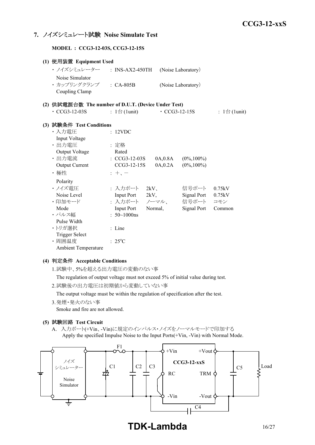### **7.** ノイズシミュレート試験 **Noise Simulate Test**

**MODEL : CCG3-12-03S, CCG3-12-15S**

| (1) 使用装置 Equipment Used                             |                              |                 |                     |                              |
|-----------------------------------------------------|------------------------------|-----------------|---------------------|------------------------------|
| ・ノイズシミュレーター                                         | $:$ INS-AX2-450TH            |                 | (Noise Laboratory)  |                              |
| Noise Simulator                                     |                              |                 |                     |                              |
| · カップリングクランプ : CA-805B                              |                              |                 | (Noise Laboratory)  |                              |
| Coupling Clamp                                      |                              |                 |                     |                              |
| (2) 供試電源台数 The number of D.U.T. (Device Under Test) |                              |                 |                     |                              |
| $\cdot$ CCG3-12-03S                                 | : $1 \oplus (1 \text{unit})$ |                 | $\cdot$ CCG3-12-15S | : $1 \oplus (1 \text{unit})$ |
| (3) 試験条件 Test Conditions                            |                              |                 |                     |                              |
| ・入力電圧                                               | : 12VDC                      |                 |                     |                              |
| Input Voltage                                       |                              |                 |                     |                              |
| ・出力電圧                                               | : 定格                         |                 |                     |                              |
| Output Voltage                                      | Rated                        |                 |                     |                              |
| ・出力電流                                               | $\cdot$ CCG3-12-03S          | 0A,0.8A         | $(0\%, 100\%)$      |                              |
| <b>Output Current</b>                               | CCG3-12-15S                  | 0A,0.2A         | $(0\%, 100\%)$      |                              |
| ・極性                                                 | $+$ , $-$                    |                 |                     |                              |
| Polarity                                            |                              |                 |                     |                              |
| ・ノイズ電圧                                              | : 入力ポート                      | 2kV             | 信号ポート               | 0.75kV                       |
| Noise Level                                         |                              | Input Port 2kV, | Signal Port         | 0.75kV                       |
| ・印加モード                                              | : 入力ポート ノーマル、                |                 | 信号ポート               | コモン                          |
| Mode                                                | <b>Input Port</b>            | Normal,         | Signal Port         | Common                       |
| ・パルス幅                                               | : $50 \sim 1000$ ns          |                 |                     |                              |
| Pulse Width                                         |                              |                 |                     |                              |
| ・トリガ選択                                              | $:$ Line                     |                 |                     |                              |
| <b>Trigger Select</b>                               |                              |                 |                     |                              |
| · 周囲温度                                              | $: 25^{\circ}C$              |                 |                     |                              |
| <b>Ambient Temperature</b>                          |                              |                 |                     |                              |

#### **(4)** 判定条件 **Acceptable Conditions**

1.試験中、5%を超える出力電圧の変動のない事

The regulation of output voltage must not exceed 5% of initial value during test.

2.試験後の出力電圧は初期値から変動していない事

The output voltage must be within the regulation of specification after the test.

3.発煙・発火のない事

Smoke and fire are not allowed.

#### **(5)** 試験回路 **Test Circuit**

A. 入力ポート(+Vin、-Vin)に規定のインパルス・ノイズをノーマルモードで印加する Apply the specified Impulse Noise to the Input Ports(+Vin, -Vin) with Normal Mode.



**TDK-Lambda** 16/27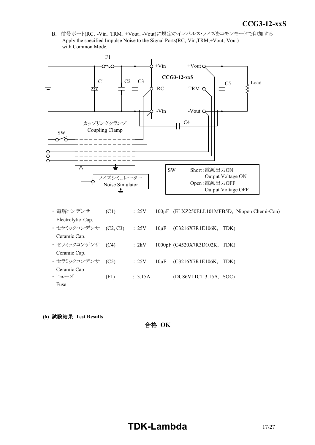*INSTRUCTION MANUAL* B. 信号ポート(RC、-Vin、TRM、+Vout、-Vout)に規定のインパルス・ノイズをコモンモードで印加する Apply the specified Impulse Noise to the Signal Ports(RC,-Vin,TRM,+Vout,-Vout) with Common Mode.



- ・ セラミックコンデンサ (C4) : 2kV 1000pF (C4520X7R3D102K, TDK) Ceramic Cap. ・ セラミックコンデンサ (C5) : 25V 10μF (C3216X7R1E106K, TDK) Ceramic Cap  $\cdot$  ヒューズ (F1) : 3.15A (DC86V11CT 3.15A, SOC) Fuse
- **(6)** 試験結果 **Test Results**

合格 **OK**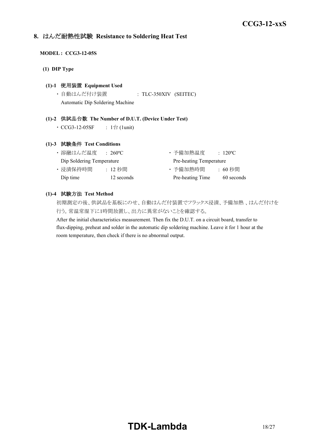### **8.** はんだ耐熱性試験 **Resistance to Soldering Heat Test**

#### **MODEL : CCG3-12-05S**

**(1) DIP Type**

#### **(1)-1** 使用装置 **Equipment Used**

・ 自動はんだ付け装置 : TLC-350XIV (SEITEC) Automatic Dip Soldering Machine

#### **(1)-2** 供試品台数 **The Number of D.U.T. (Device Under Test)**

•  $CCG3-12-05SF$  :  $1$ 台 (1unit)

#### **(1)-3** 試験条件 **Test Conditions**

| ・溶融はんだ温度                  | $\div$ 260°C. | ・予備加熱温度                 | $\therefore$ 120 <sup>o</sup> C |
|---------------------------|---------------|-------------------------|---------------------------------|
| Dip Soldering Temperature |               | Pre-heating Temperature |                                 |
| ・浸漬保持時間                   | : 12 秒間       | ・予備加熱時間                 | :60 秒間                          |
| Dip time                  | 12 seconds    | Pre-heating Time        | 60 seconds                      |

#### **(1)-4** 試験方法 **Test Method**

初期測定の後、供試品を基板にのせ、自動はんだ付装置でフラックス浸漬、予備加熱 、はんだ付けを 行う。常温常湿下に1時間放置し、出力に異常がないことを確認する。

After the initial characteristics measurement. Then fix the D.U.T. on a circuit board, transfer to flux-dipping, preheat and solder in the automatic dip soldering machine. Leave it for 1 hour at the room temperature, then check if there is no abnormal output.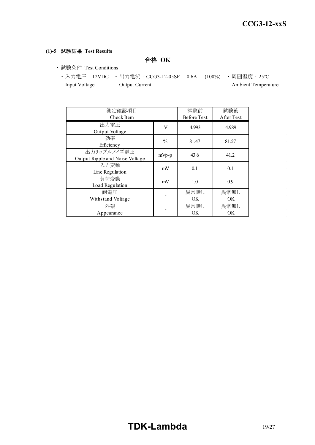#### **(1)-5** 試験結果 **Test Results**

合格 **OK**

- ・ 試験条件 Test Conditions
	- ・ 入力電圧 : 12VDC ・ 出力電流 : CCG3-12-05SF 0.6A (100%) ・ 周囲温度 : 25ºC Input Voltage Output Current Ambient Temperature

| 測定確認項目<br>Check Item                           |       | 試験前<br><b>Before Test</b> | 試験後<br>After Test |
|------------------------------------------------|-------|---------------------------|-------------------|
| 出力電圧<br>V<br>Output Voltage                    |       | 4.993                     | 4.989             |
| 効率<br>$\frac{0}{0}$<br>Efficiency              |       | 81.47                     | 81.57             |
| 出力リップルノイズ電圧<br>Output Ripple and Noise Voltage | mVp-p | 43.6                      | 41.2              |
| 入力変動<br>Line Regulation                        | mV    | 0.1                       | 0.1               |
| 負荷変動<br>Load Regulation                        | mV    | 1.0                       | 0.9               |
| 耐電圧<br>Withstand Voltage                       |       | 異常無し<br>OK.               | 異常無し<br>OK.       |
| 外観<br>Appearance                               |       | 異常無し<br><b>OK</b>         | 異常無し<br>OK.       |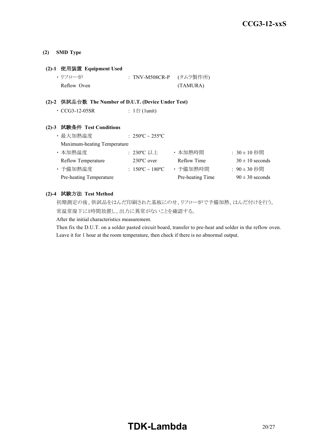#### **(2) SMD Type**

#### **(2)-1** 使用装置 **Equipment Used**

| ・リフロー炉      | : TNV-M508CR-P (タムラ製作所) |
|-------------|-------------------------|
| Reflow Oven | (TAMURA)                |

#### **(2)-2** 供試品台数 **The Number of D.U.T. (Device Under Test)**

| $\cdot$ CCG3-12-05SR | : 1台 (1unit) |
|----------------------|--------------|
|----------------------|--------------|

#### **(2)-3** 試験条件 **Test Conditions**

| ・最大加熱温度                     | : $250^{\circ}$ C ~ $255^{\circ}$ C |                  |                     |
|-----------------------------|-------------------------------------|------------------|---------------------|
| Maximum-heating Temperature |                                     |                  |                     |
| ・本加熱温度                      | : 230°C 以上                          | ・本加熱時間           | $: 30 \pm 10$ 秒間    |
| <b>Reflow Temperature</b>   | $230^{\circ}$ C over                | Reflow Time      | $30 \pm 10$ seconds |
| ・予備加熱温度                     | : $150^{\circ}$ C ~ $180^{\circ}$ C | ・予備加熱時間          | : 90±30 秒間          |
| Pre-heating Temperature     |                                     | Pre-heating Time | $90 \pm 30$ seconds |

#### **(2)-4** 試験方法 **Test Method**

初期測定の後、供試品をはんだ印刷された基板にのせ、リフロー炉で予備加熱、はんだ付けを行う。 常温常湿下に1時間放置し、出力に異常がないことを確認する。

After the initial characteristics measurement.

Then fix the D.U.T. on a solder pasted circuit board, transfer to pre-heat and solder in the reflow oven. Leave it for 1 hour at the room temperature, then check if there is no abnormal output.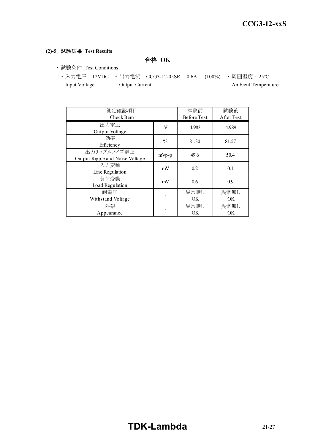#### **(2)-5** 試験結果 **Test Results**

合格 **OK**

- ・ 試験条件 Test Conditions
	- ・ 入力電圧 : 12VDC ・ 出力電流 : CCG3-12-05SR 0.6A (100%) ・ 周囲温度 : 25ºC Input Voltage Output Current Ambient Temperature

| 測定確認項目<br>Check Item                           |               | 試験前<br><b>Before Test</b> | 試験後<br>After Test |
|------------------------------------------------|---------------|---------------------------|-------------------|
| 出力電圧<br>Output Voltage                         | V             | 4.983                     | 4.989             |
| 効率<br>Efficiency                               | $\frac{0}{0}$ | 81.30                     | 81.57             |
| 出力リップルノイズ電圧<br>Output Ripple and Noise Voltage | mVp-p         | 49.6                      | 50.4              |
| 入力変動<br>Line Regulation                        | mV            | 0.2                       | 0.1               |
| 負荷変動<br>Load Regulation                        | mV            | $0.6^{\circ}$             | 0.9               |
| 耐電圧<br>Withstand Voltage                       |               | 異常無し<br>OK.               | 異常無し<br>OK.       |
| 外観<br>Appearance                               |               | 異常無し<br><b>OK</b>         | 異常無し<br>OK.       |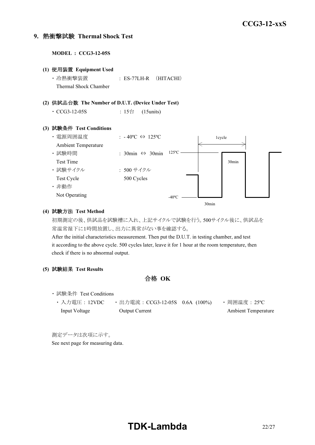#### **9.** 熱衝撃試験 **Thermal Shock Test**

**MODEL : CCG3-12-05S (1)** 使用装置 **Equipment Used** ・ 冷熱衝撃装置 : ES-77LH-R (HITACHI) Thermal Shock Chamber **(2)** 供試品台数 **The Number of D.U.T. (Device Under Test)**  $\cdot$  CCG3-12-05S : 15台 (15units) **(3)** 試験条件 **Test Conditions** ・電源周囲温度 : -40℃ ⇔ 125℃ Ambient Temperature ・ 試験時間 : 30min ⇔ 30min Test Time ・ 試験サイクル : 500 サイクル Test Cycle 500 Cycles ・ 非動作 Not Operating 1cycle 30min  $-40^{\circ}$ C  $-$ 125ºC

#### **(4)** 試験方法 **Test Method**

初期測定の後、供試品を試験槽に入れ、上記サイクルで試験を行う。500サイクル後に、供試品を 常温常湿下に1時間放置し、出力に異常がない事を確認する。

30min

After the initial characteristics measurement. Then put the D.U.T. in testing chamber, and test it according to the above cycle. 500 cycles later, leave it for 1 hour at the room temperature, then check if there is no abnormal output.

#### **(5)** 試験結果 **Test Results**

合格 **OK**

- ・ 試験条件 Test Conditions
	- 入力電圧 : 12VDC 出力電流 : CCG3-12-05S 0.6A (100%) 周囲温度 : 25℃ Input Voltage Output Current Ambient Temperature

測定データは次項に示す。 See next page for measuring data.

# **TDK-Lambda** 22/27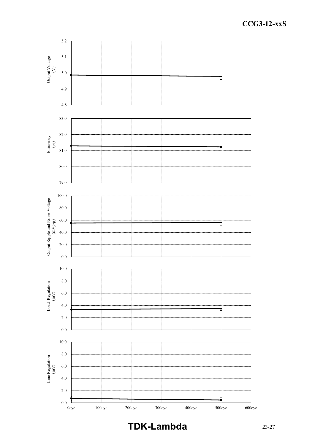

**TDK-Lambda** 23/27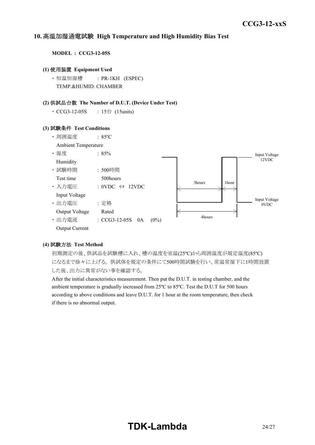#### *INSTRUCTION MANUAL* **10.** 高温加湿通電試験 **High Temperature and High Humidity Bias Test**

**MODEL : CCG3-12-05S**

#### **(1)** 使用装置 **Equipment Used**

・ 恒温恒湿槽 : PR-1KH (ESPEC) TEMP.&HUMID. CHAMBER

#### **(2)** 供試品台数 **The Number of D.U.T. (Device Under Test)**

• CCG3-12-05S : 15台 (15units)

#### **(3)** 試験条件 **Test Conditions**



#### **(4)** 試験方法 **Test Method**

初期測定の後、供試品を試験槽に入れ、槽の温度を室温(25ºC)から周囲温度が規定温度(85ºC) になるまで徐々に上げる。 供試体を規定の条件にて500時間試験を行い、常温常湿下に1時間放置 した後、出力に異常がない事を確認する。

After the initial characteristics measurement. Then put the D.U.T. in testing chamber, and the ambient temperature is gradually increased from 25ºC to 85ºC. Test the D.U.T for 500 hours according to above conditions and leave D.U.T. for 1 hour at the room temperature, then check if there is no abnormal output.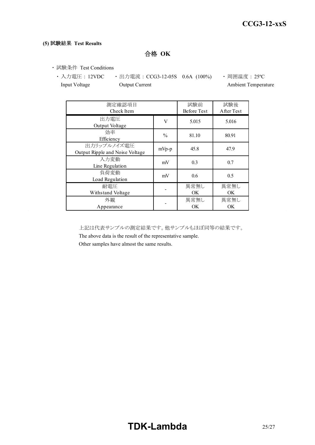#### **(5)** 試験結果 **Test Results**

合格 **OK**

・ 試験条件 Test Conditions

• 入力電圧 : 12VDC • 出力電流 : CCG3-12-05S 0.6A (100%) • 周囲温度 : 25℃ Input Voltage **Output Current Ambient Temperature** Ambient Temperature

| 測定確認項目<br>Check Item                           |               | 試験前<br><b>Before Test</b> | 試験後<br>After Test |
|------------------------------------------------|---------------|---------------------------|-------------------|
| 出力電圧<br>Output Voltage                         | V             | 5.015                     | 5.016             |
| 効率<br>Efficiency                               | $\frac{0}{0}$ | 81.10                     | 80.91             |
| 出力リップルノイズ電圧<br>Output Ripple and Noise Voltage | $mVp-p$       | 45.8                      | 47.9              |
| 入力変動<br>Line Regulation                        | mV            | 0.3                       | 0.7               |
| 負荷変動<br>Load Regulation                        | mV            | 0.6                       | 0.5               |
| 耐電圧<br>Withstand Voltage                       |               | 異常無し<br><b>OK</b>         | 異常無し<br>OK        |
| 外観<br>Appearance                               |               | 異常無し<br>OK                | 異常無し<br>OK        |

上記は代表サンプルの測定結果です。他サンプルもほぼ同等の結果です。

The above data is the result of the representative sample.

Other samples have almost the same results.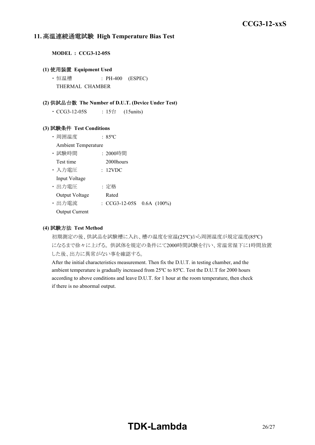#### **11.** 高温連続通電試験 **High Temperature Bias Test**

**MODEL : CCG3-12-05S**

#### **(1)** 使用装置 **Equipment Used**

• 恒温槽 : PH-400 (ESPEC) THERMAL CHAMBER

#### **(2)** 供試品台数 **The Number of D.U.T. (Device Under Test)**

 $\cdot$  CCG3-12-05S : 15台 (15units)

#### **(3)** 試験条件 **Test Conditions**

- ・ 周囲温度 : 85ºC
- Ambient Temperature
- ・ 試験時間 : 2000時間
- Test time 2000 hours
- ・ 入力電圧 : 12VDC Input Voltage

- ・ 出力電圧 : 定格 Output Voltage Rated
- ・ 出力電流 : CCG3-12-05S 0.6A (100%)
- Output Current

#### **(4)** 試験方法 **Test Method**

初期測定の後、供試品を試験槽に入れ、槽の温度を室温(25ºC)から周囲温度が規定温度(85ºC) になるまで徐々に上げる。 供試体を規定の条件にて2000時間試験を行い、常温常湿下に1時間放置 した後、出力に異常がない事を確認する。

After the initial characteristics measurement. Then fix the D.U.T. in testing chamber, and the ambient temperature is gradually increased from 25ºC to 85ºC. Test the D.U.T for 2000 hours according to above conditions and leave D.U.T. for 1 hour at the room temperature, then check if there is no abnormal output.